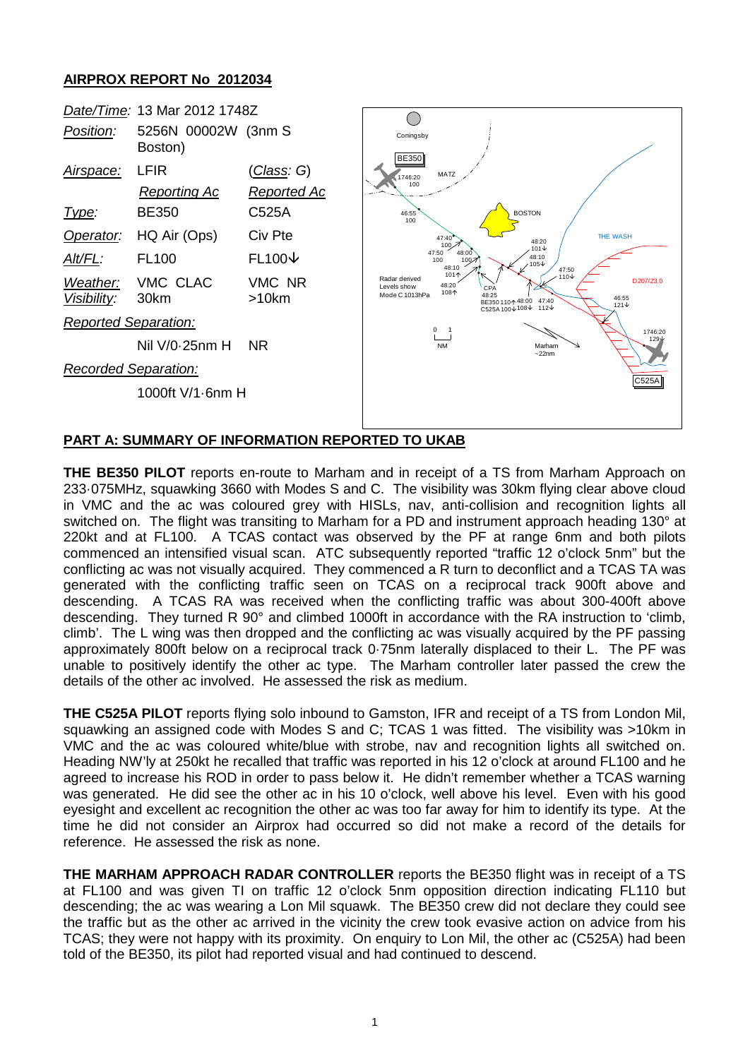## **AIRPROX REPORT No 2012034**



## **PART A: SUMMARY OF INFORMATION REPORTED TO UKAB**

**THE BE350 PILOT** reports en-route to Marham and in receipt of a TS from Marham Approach on 233·075MHz, squawking 3660 with Modes S and C. The visibility was 30km flying clear above cloud in VMC and the ac was coloured grey with HISLs, nav, anti-collision and recognition lights all switched on. The flight was transiting to Marham for a PD and instrument approach heading 130° at 220kt and at FL100. A TCAS contact was observed by the PF at range 6nm and both pilots commenced an intensified visual scan. ATC subsequently reported "traffic 12 o'clock 5nm" but the conflicting ac was not visually acquired. They commenced a R turn to deconflict and a TCAS TA was generated with the conflicting traffic seen on TCAS on a reciprocal track 900ft above and descending. A TCAS RA was received when the conflicting traffic was about 300-400ft above descending. They turned R 90° and climbed 1000ft in accordance with the RA instruction to 'climb, climb'. The L wing was then dropped and the conflicting ac was visually acquired by the PF passing approximately 800ft below on a reciprocal track 0·75nm laterally displaced to their L. The PF was unable to positively identify the other ac type. The Marham controller later passed the crew the details of the other ac involved. He assessed the risk as medium.

**THE C525A PILOT** reports flying solo inbound to Gamston, IFR and receipt of a TS from London Mil, squawking an assigned code with Modes S and C; TCAS 1 was fitted. The visibility was >10km in VMC and the ac was coloured white/blue with strobe, nav and recognition lights all switched on. Heading NW'ly at 250kt he recalled that traffic was reported in his 12 o'clock at around FL100 and he agreed to increase his ROD in order to pass below it. He didn't remember whether a TCAS warning was generated. He did see the other ac in his 10 o'clock, well above his level. Even with his good eyesight and excellent ac recognition the other ac was too far away for him to identify its type. At the time he did not consider an Airprox had occurred so did not make a record of the details for reference. He assessed the risk as none.

**THE MARHAM APPROACH RADAR CONTROLLER** reports the BE350 flight was in receipt of a TS at FL100 and was given TI on traffic 12 o'clock 5nm opposition direction indicating FL110 but descending; the ac was wearing a Lon Mil squawk. The BE350 crew did not declare they could see the traffic but as the other ac arrived in the vicinity the crew took evasive action on advice from his TCAS; they were not happy with its proximity. On enquiry to Lon Mil, the other ac (C525A) had been told of the BE350, its pilot had reported visual and had continued to descend.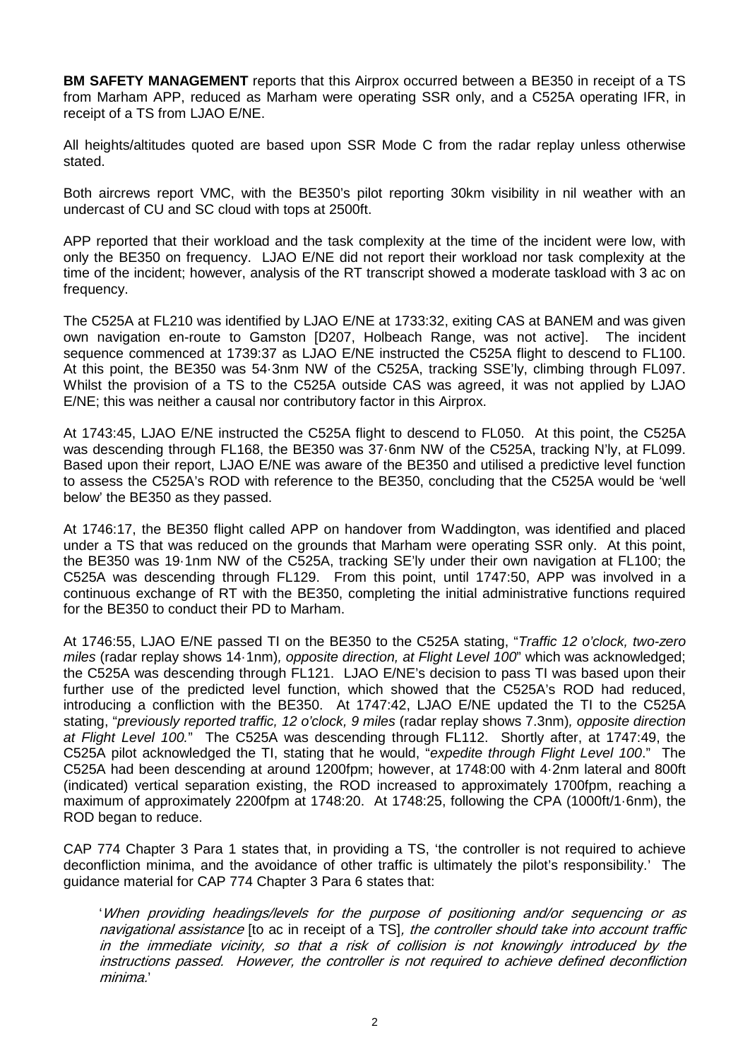**BM SAFETY MANAGEMENT** reports that this Airprox occurred between a BE350 in receipt of a TS from Marham APP, reduced as Marham were operating SSR only, and a C525A operating IFR, in receipt of a TS from LJAO E/NE.

All heights/altitudes quoted are based upon SSR Mode C from the radar replay unless otherwise stated.

Both aircrews report VMC, with the BE350's pilot reporting 30km visibility in nil weather with an undercast of CU and SC cloud with tops at 2500ft.

APP reported that their workload and the task complexity at the time of the incident were low, with only the BE350 on frequency. LJAO E/NE did not report their workload nor task complexity at the time of the incident; however, analysis of the RT transcript showed a moderate taskload with 3 ac on frequency.

The C525A at FL210 was identified by LJAO E/NE at 1733:32, exiting CAS at BANEM and was given own navigation en-route to Gamston [D207, Holbeach Range, was not active]. The incident sequence commenced at 1739:37 as LJAO E/NE instructed the C525A flight to descend to FL100. At this point, the BE350 was 54·3nm NW of the C525A, tracking SSE'ly, climbing through FL097. Whilst the provision of a TS to the C525A outside CAS was agreed, it was not applied by LJAO E/NE; this was neither a causal nor contributory factor in this Airprox.

At 1743:45, LJAO E/NE instructed the C525A flight to descend to FL050. At this point, the C525A was descending through FL168, the BE350 was 37·6nm NW of the C525A, tracking N'ly, at FL099. Based upon their report, LJAO E/NE was aware of the BE350 and utilised a predictive level function to assess the C525A's ROD with reference to the BE350, concluding that the C525A would be 'well below' the BE350 as they passed.

At 1746:17, the BE350 flight called APP on handover from Waddington, was identified and placed under a TS that was reduced on the grounds that Marham were operating SSR only. At this point, the BE350 was 19·1nm NW of the C525A, tracking SE'ly under their own navigation at FL100; the C525A was descending through FL129. From this point, until 1747:50, APP was involved in a continuous exchange of RT with the BE350, completing the initial administrative functions required for the BE350 to conduct their PD to Marham.

At 1746:55, LJAO E/NE passed TI on the BE350 to the C525A stating, "*Traffic 12 o'clock, two-zero miles* (radar replay shows 14·1nm)*, opposite direction, at Flight Level 100*" which was acknowledged; the C525A was descending through FL121. LJAO E/NE's decision to pass TI was based upon their further use of the predicted level function, which showed that the C525A's ROD had reduced, introducing a confliction with the BE350. At 1747:42, LJAO E/NE updated the TI to the C525A stating, "*previously reported traffic, 12 o'clock, 9 miles* (radar replay shows 7.3nm)*, opposite direction at Flight Level 100.*" The C525A was descending through FL112. Shortly after, at 1747:49, the C525A pilot acknowledged the TI, stating that he would, "*expedite through Flight Level 100*." The C525A had been descending at around 1200fpm; however, at 1748:00 with 4·2nm lateral and 800ft (indicated) vertical separation existing, the ROD increased to approximately 1700fpm, reaching a maximum of approximately 2200fpm at 1748:20. At 1748:25, following the CPA (1000ft/1·6nm), the ROD began to reduce.

CAP 774 Chapter 3 Para 1 states that, in providing a TS, 'the controller is not required to achieve deconfliction minima, and the avoidance of other traffic is ultimately the pilot's responsibility.' The guidance material for CAP 774 Chapter 3 Para 6 states that:

'When providing headings/levels for the purpose of positioning and/or sequencing or as navigational assistance [to ac in receipt of a TS], the controller should take into account traffic in the immediate vicinity, so that a risk of collision is not knowingly introduced by the instructions passed. However, the controller is not required to achieve defined deconfliction minima.'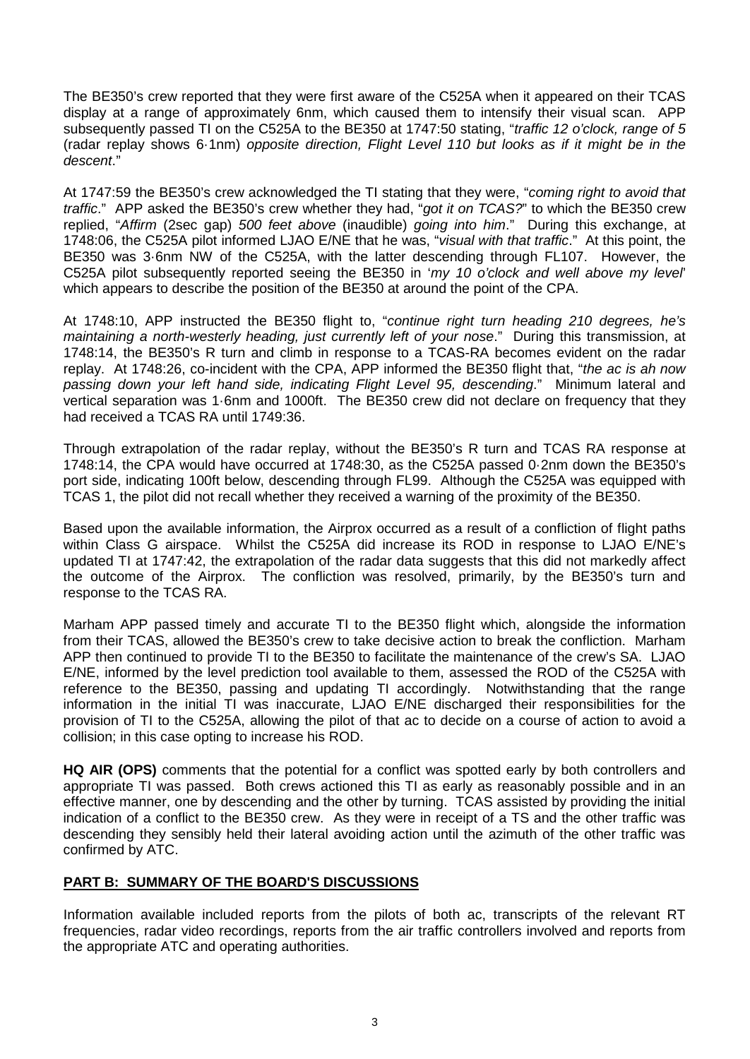The BE350's crew reported that they were first aware of the C525A when it appeared on their TCAS display at a range of approximately 6nm, which caused them to intensify their visual scan. APP subsequently passed TI on the C525A to the BE350 at 1747:50 stating, "*traffic 12 o'clock, range of 5* (radar replay shows 6·1nm) *opposite direction, Flight Level 110 but looks as if it might be in the descent*."

At 1747:59 the BE350's crew acknowledged the TI stating that they were, "*coming right to avoid that traffic*." APP asked the BE350's crew whether they had, "*got it on TCAS?*" to which the BE350 crew replied, "*Affirm* (2sec gap) *500 feet above* (inaudible) *going into him*." During this exchange, at 1748:06, the C525A pilot informed LJAO E/NE that he was, "*visual with that traffic*." At this point, the BE350 was 3·6nm NW of the C525A, with the latter descending through FL107. However, the C525A pilot subsequently reported seeing the BE350 in '*my 10 o'clock and well above my level*' which appears to describe the position of the BE350 at around the point of the CPA.

At 1748:10, APP instructed the BE350 flight to, "*continue right turn heading 210 degrees, he's maintaining a north-westerly heading, just currently left of your nose*." During this transmission, at 1748:14, the BE350's R turn and climb in response to a TCAS-RA becomes evident on the radar replay. At 1748:26, co-incident with the CPA, APP informed the BE350 flight that, "*the ac is ah now passing down your left hand side, indicating Flight Level 95, descending*." Minimum lateral and vertical separation was 1·6nm and 1000ft. The BE350 crew did not declare on frequency that they had received a TCAS RA until 1749:36.

Through extrapolation of the radar replay, without the BE350's R turn and TCAS RA response at 1748:14, the CPA would have occurred at 1748:30, as the C525A passed 0·2nm down the BE350's port side, indicating 100ft below, descending through FL99. Although the C525A was equipped with TCAS 1, the pilot did not recall whether they received a warning of the proximity of the BE350.

Based upon the available information, the Airprox occurred as a result of a confliction of flight paths within Class G airspace. Whilst the C525A did increase its ROD in response to LJAO E/NE's updated TI at 1747:42, the extrapolation of the radar data suggests that this did not markedly affect the outcome of the Airprox. The confliction was resolved, primarily, by the BE350's turn and response to the TCAS RA.

Marham APP passed timely and accurate TI to the BE350 flight which, alongside the information from their TCAS, allowed the BE350's crew to take decisive action to break the confliction. Marham APP then continued to provide TI to the BE350 to facilitate the maintenance of the crew's SA. LJAO E/NE, informed by the level prediction tool available to them, assessed the ROD of the C525A with reference to the BE350, passing and updating TI accordingly. Notwithstanding that the range information in the initial TI was inaccurate, LJAO E/NE discharged their responsibilities for the provision of TI to the C525A, allowing the pilot of that ac to decide on a course of action to avoid a collision; in this case opting to increase his ROD.

**HQ AIR (OPS)** comments that the potential for a conflict was spotted early by both controllers and appropriate TI was passed. Both crews actioned this TI as early as reasonably possible and in an effective manner, one by descending and the other by turning. TCAS assisted by providing the initial indication of a conflict to the BE350 crew. As they were in receipt of a TS and the other traffic was descending they sensibly held their lateral avoiding action until the azimuth of the other traffic was confirmed by ATC.

## **PART B: SUMMARY OF THE BOARD'S DISCUSSIONS**

Information available included reports from the pilots of both ac, transcripts of the relevant RT frequencies, radar video recordings, reports from the air traffic controllers involved and reports from the appropriate ATC and operating authorities.